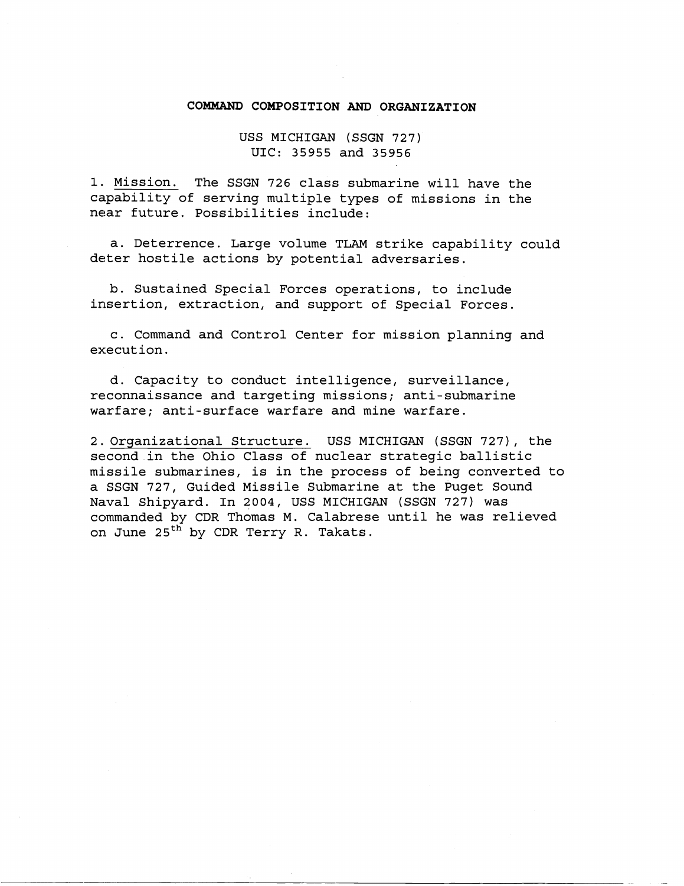## **COMMAND COMPOSITION AND ORGANIZATION**

USS MICHIGAN (SSGN 727) UIC: 35955 and 35956

1. Mission. The SSGN 726 class submarine will have the capability of serving multiple types of missions in the near future. possibilities include:

a. Deterrence. Large volume TLAM strike capability could deter hostile actions by potential adversaries.

b. Sustained Special Forces operations, to include insertion, extraction, and support of Special Forces.

c. Command and Control Center for mission planning and execution.

d. Capacity to conduct intelligence, surveillance, reconnaissance and targeting missions; anti-submarine warfare; anti-surface warfare and mine warfare.

2. Organizational Structure. USS MICHIGAN (SSGN 727), the second in the Ohio Class of nuclear strategic ballistic missile submarines, is in the process of being converted to a SSGN 727, Guided Missile Submarine at the Puget Sound Naval Shipyard. In 2004, USS MICHIGAN (SSGN 727) was commanded by CDR Thomas M. Calabrese until he was relieved on June 25<sup>th</sup> by CDR Terry R. Takats.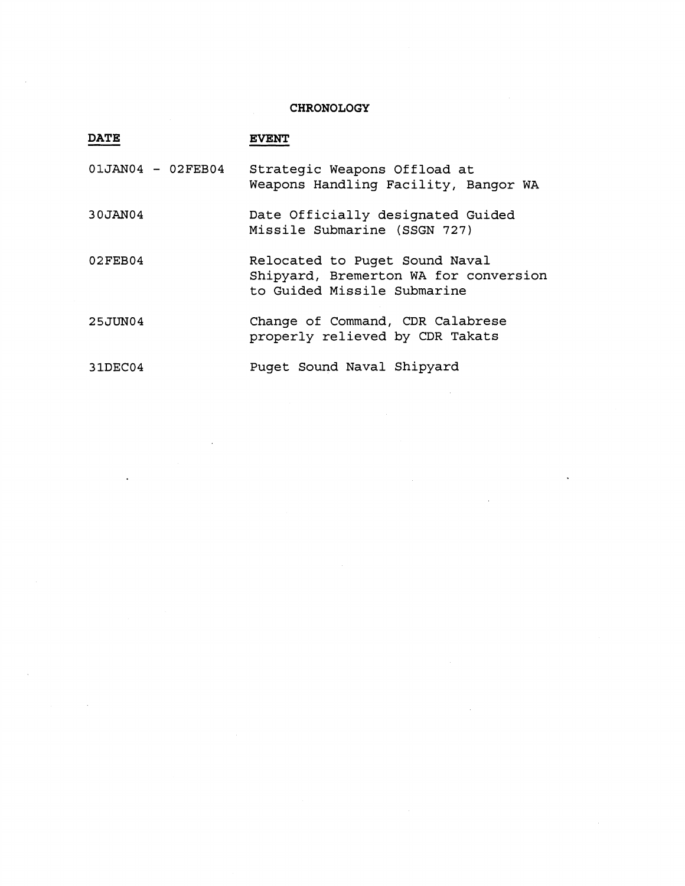## **CHRONOLOGY**

| DATE              | EVENT                                                                                                  |
|-------------------|--------------------------------------------------------------------------------------------------------|
| 01JAN04 - 02FEB04 | Strategic Weapons Offload at<br>Weapons Handling Facility, Bangor WA                                   |
| 30JAN04           | Date Officially designated Guided<br>Missile Submarine (SSGN 727)                                      |
| 02FEB04           | Relocated to Puget Sound Naval<br>Shipyard, Bremerton WA for conversion<br>to Guided Missile Submarine |
| 25JUN04           | Change of Command, CDR Calabrese<br>properly relieved by CDR Takats                                    |
| 31DEC04           | Puget Sound Naval Shipyard                                                                             |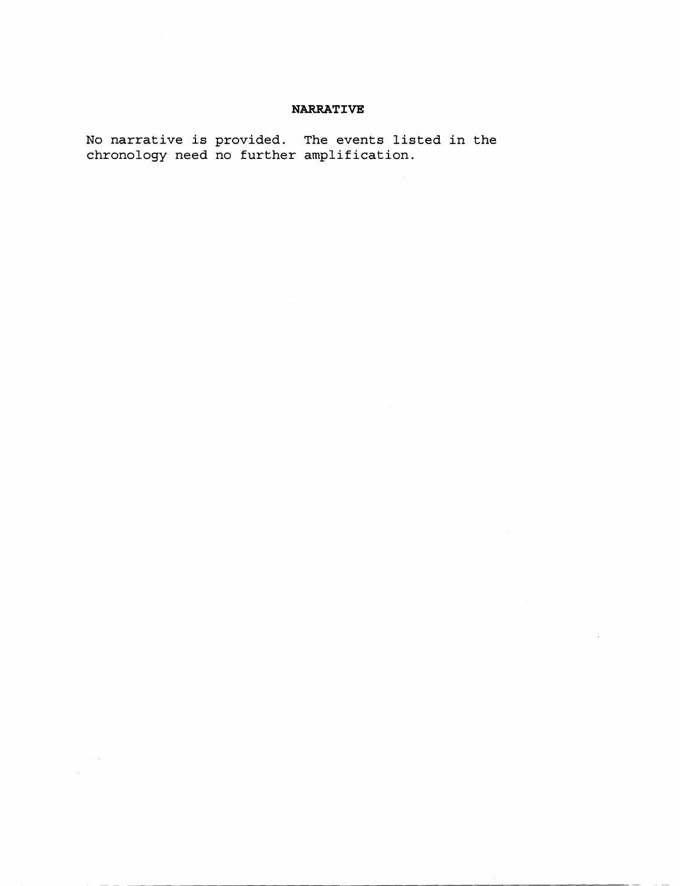## **NARRATIVE**

**No narrative is provided. The events listed in the chronology need no further amplification.**